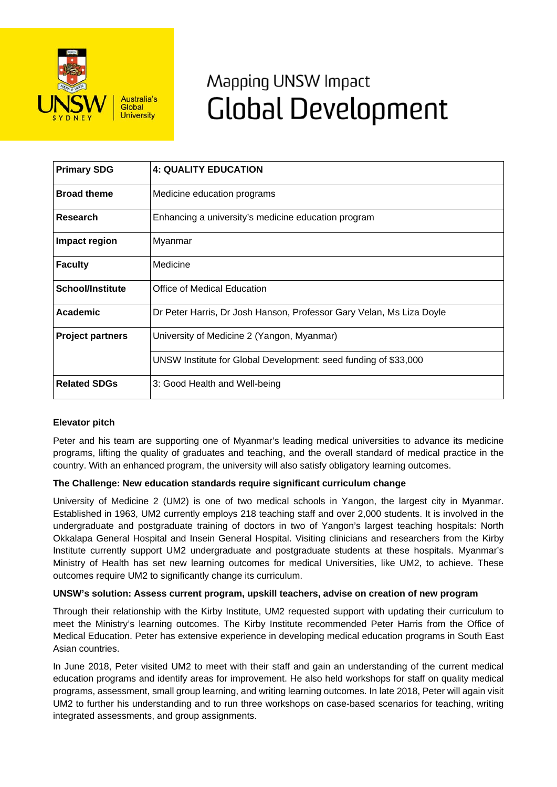

# Mapping UNSW Impact **Global Development**

| <b>Primary SDG</b>      | <b>4: QUALITY EDUCATION</b>                                          |
|-------------------------|----------------------------------------------------------------------|
| <b>Broad theme</b>      | Medicine education programs                                          |
| Research                | Enhancing a university's medicine education program                  |
| Impact region           | Myanmar                                                              |
| <b>Faculty</b>          | Medicine                                                             |
| <b>School/Institute</b> | Office of Medical Education                                          |
| Academic                | Dr Peter Harris, Dr Josh Hanson, Professor Gary Velan, Ms Liza Doyle |
| <b>Project partners</b> | University of Medicine 2 (Yangon, Myanmar)                           |
|                         | UNSW Institute for Global Development: seed funding of \$33,000      |
| <b>Related SDGs</b>     | 3: Good Health and Well-being                                        |

# **Elevator pitch**

Peter and his team are supporting one of Myanmar's leading medical universities to advance its medicine programs, lifting the quality of graduates and teaching, and the overall standard of medical practice in the country. With an enhanced program, the university will also satisfy obligatory learning outcomes.

# **The Challenge: New education standards require significant curriculum change**

University of Medicine 2 (UM2) is one of two medical schools in Yangon, the largest city in Myanmar. Established in 1963, UM2 currently employs 218 teaching staff and over 2,000 students. It is involved in the undergraduate and postgraduate training of doctors in two of Yangon's largest teaching hospitals: North Okkalapa General Hospital and Insein General Hospital. Visiting clinicians and researchers from the Kirby Institute currently support UM2 undergraduate and postgraduate students at these hospitals. Myanmar's Ministry of Health has set new learning outcomes for medical Universities, like UM2, to achieve. These outcomes require UM2 to significantly change its curriculum.

## **UNSW's solution: Assess current program, upskill teachers, advise on creation of new program**

Through their relationship with the Kirby Institute, UM2 requested support with updating their curriculum to meet the Ministry's learning outcomes. The Kirby Institute recommended Peter Harris from the Office of Medical Education. Peter has extensive experience in developing medical education programs in South East Asian countries.

In June 2018, Peter visited UM2 to meet with their staff and gain an understanding of the current medical education programs and identify areas for improvement. He also held workshops for staff on quality medical programs, assessment, small group learning, and writing learning outcomes. In late 2018, Peter will again visit UM2 to further his understanding and to run three workshops on case-based scenarios for teaching, writing integrated assessments, and group assignments.